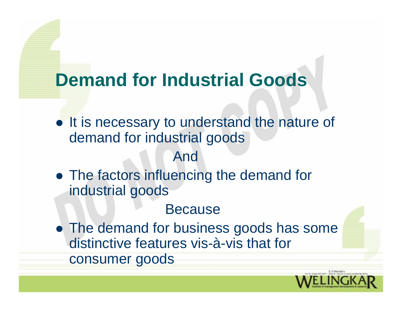## **Demand for Industrial Goods**

• It is necessary to understand the nature of demand for industrial goods

#### And

• The factors influencing the demand for industrial goods

#### Because

• The demand for business goods has some distinctive features vis-à-vis that for consumer goods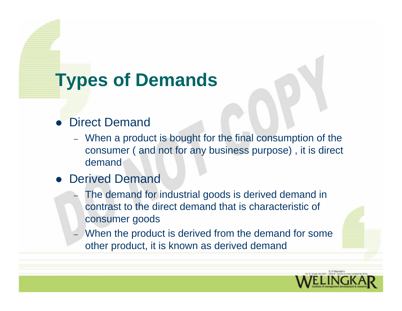# **Types of Demands**

#### • Direct Demand

– When a product is bought for the final consumption of the consumer ( and not for any business purpose) , it is direct demand

#### • Derived Demand

- – The demand for industrial goods is derived demand in contrast to the direct demand that is characteristic of consumer goods
- When the product is derived from the demand for some other product, it is known as derived demand

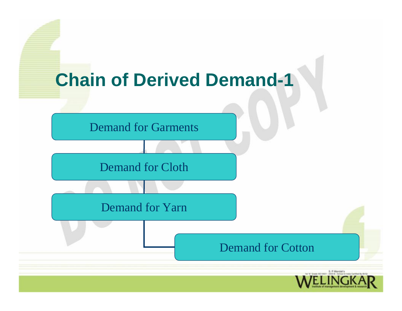

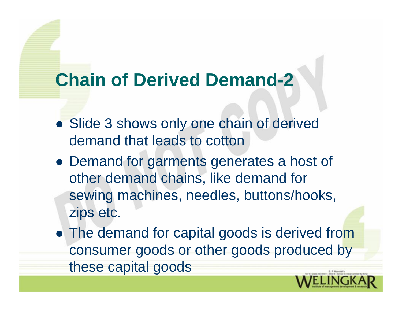## **Chain of Derived Demand-2**

- Slide 3 shows only one chain of derived demand that leads to cotton
- Demand for garments generates a host of other demand chains, like demand for sewing machines, needles, buttons/hooks, zips etc.
- The demand for capital goods is derived from consumer goods or other goods produced by these capital goods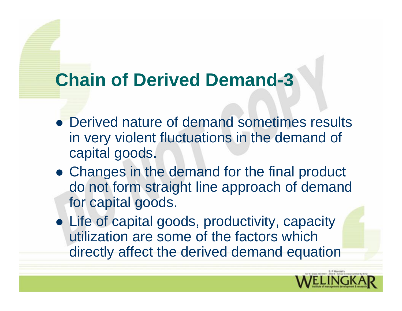## **Chain of Derived Demand-3**

- Derived nature of demand sometimes results in very violent fluctuations in the demand of capital goods.
- Changes in the demand for the final product do not form straight line approach of demand for capital goods.
- Life of capital goods, productivity, capacity utilization are some of the factors which directly affect the derived demand equation

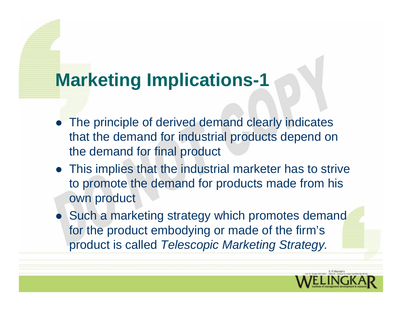## **Marketing Implications-1**

- The principle of derived demand clearly indicates that the demand for industrial products depend on the demand for final product
- This implies that the industrial marketer has to strive to promote the demand for products made from his own product
- Such a marketing strategy which promotes demand for the product embodying or made of the firm's product is called *Telescopic Marketing Strategy.*

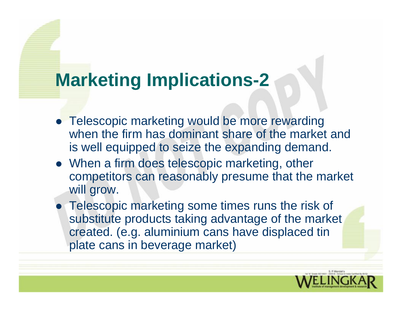## **Marketing Implications-2**

- Telescopic marketing would be more rewarding when the firm has dominant share of the market and is well equipped to seize the expanding demand.
- When a firm does telescopic marketing, other competitors can reasonably presume that the market will grow.
- Telescopic marketing some times runs the risk of substitute products taking advantage of the market created. (e.g. aluminium cans have displaced tin plate cans in beverage market)

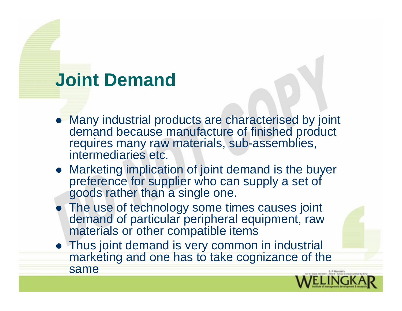## **Joint Demand**

- Many industrial products are characterised by joint demand because manufacture of finished product requires many raw materials, sub-assemblies, intermediaries etc.
- Marketing implication of joint demand is the buyer preference for supplier who can supply a set of goods rather than a single one.
- The use of technology some times causes joint demand of particular peripheral equipment, raw materials or other compatible items
- Thus joint demand is very common in industrial marketing and one has to take cognizance of the same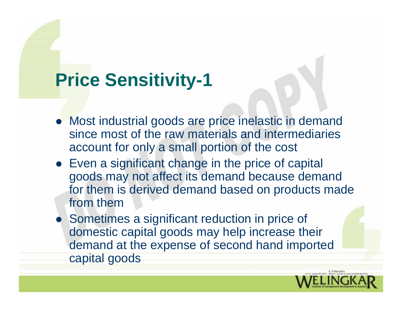### **Price Sensitivity-1**

- Most industrial goods are price inelastic in demand since most of the raw materials and intermediaries account for only a small portion of the cost
- Even a significant change in the price of capital goods may not affect its demand because demand for them is derived demand based on products made from them
- Sometimes a significant reduction in price of domestic capital goods may help increase their demand at the expense of second hand imported capital goods

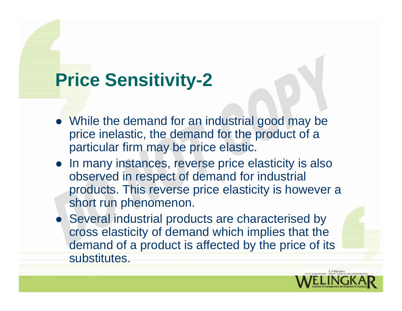#### **Price Sensitivity-2**

- While the demand for an industrial good may be price inelastic, the demand for the product of a particular firm may be price elastic.
- In many instances, reverse price elasticity is also observed in respect of demand for industrial products. This reverse price elasticity is however a short run phenomenon.
- Several industrial products are characterised by cross elasticity of demand which implies that the demand of a product is affected by the price of its substitutes.